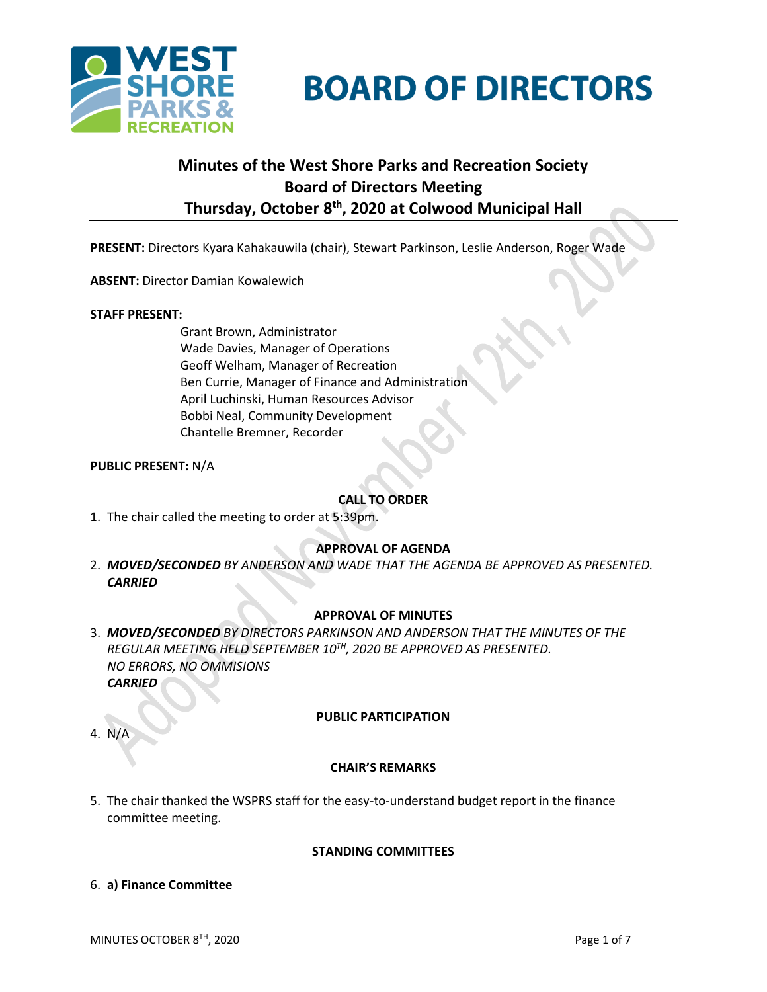



# **Minutes of the West Shore Parks and Recreation Society Board of Directors Meeting Thursday, October 8th , 2020 at Colwood Municipal Hall**

**PRESENT:** Directors Kyara Kahakauwila (chair), Stewart Parkinson, Leslie Anderson, Roger Wade

**ABSENT:** Director Damian Kowalewich

#### **STAFF PRESENT:**

Grant Brown, Administrator Wade Davies, Manager of Operations Geoff Welham, Manager of Recreation Ben Currie, Manager of Finance and Administration April Luchinski, Human Resources Advisor Bobbi Neal, Community Development Chantelle Bremner, Recorder

# **PUBLIC PRESENT:** N/A

# **CALL TO ORDER**

1. The chair called the meeting to order at 5:39pm.

# **APPROVAL OF AGENDA**

2. *MOVED/SECONDED BY ANDERSON AND WADE THAT THE AGENDA BE APPROVED AS PRESENTED. CARRIED*

# **APPROVAL OF MINUTES**

3. *MOVED/SECONDED BY DIRECTORS PARKINSON AND ANDERSON THAT THE MINUTES OF THE REGULAR MEETING HELD SEPTEMBER 10TH, 2020 BE APPROVED AS PRESENTED. NO ERRORS, NO OMMISIONS CARRIED*

# **PUBLIC PARTICIPATION**

4. N/A

# **CHAIR'S REMARKS**

5. The chair thanked the WSPRS staff for the easy-to-understand budget report in the finance committee meeting.

#### **STANDING COMMITTEES**

6. **a) Finance Committee**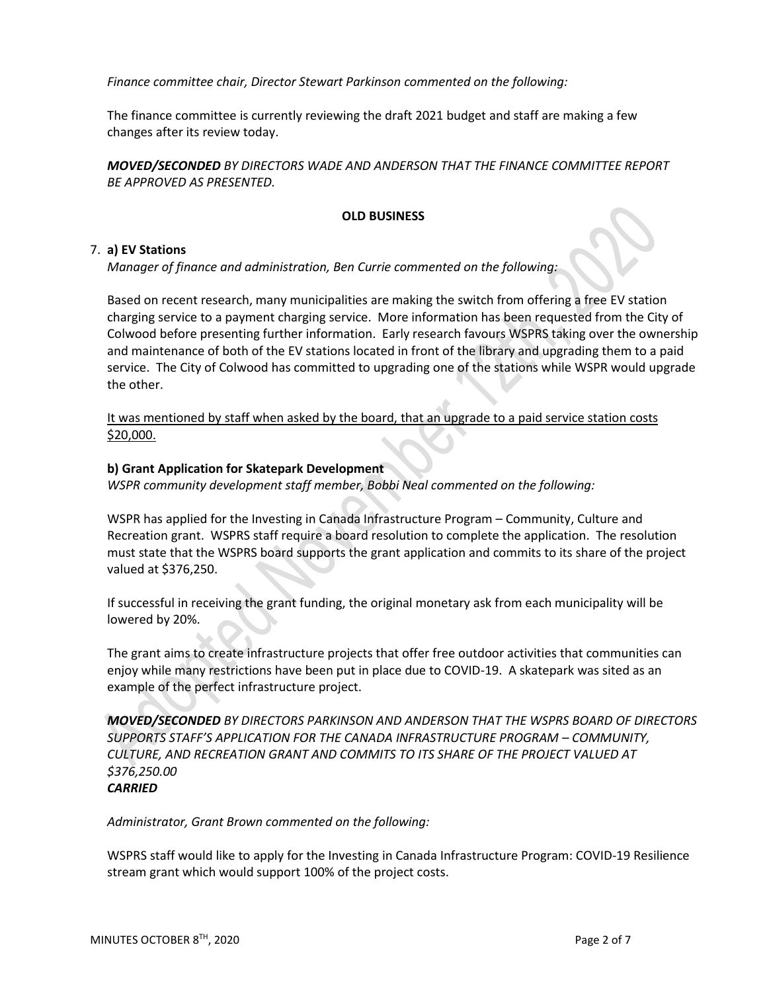*Finance committee chair, Director Stewart Parkinson commented on the following:*

The finance committee is currently reviewing the draft 2021 budget and staff are making a few changes after its review today.

*MOVED/SECONDED BY DIRECTORS WADE AND ANDERSON THAT THE FINANCE COMMITTEE REPORT BE APPROVED AS PRESENTED.*

### **OLD BUSINESS**

### 7. **a) EV Stations**

*Manager of finance and administration, Ben Currie commented on the following:*

Based on recent research, many municipalities are making the switch from offering a free EV station charging service to a payment charging service. More information has been requested from the City of Colwood before presenting further information. Early research favours WSPRS taking over the ownership and maintenance of both of the EV stations located in front of the library and upgrading them to a paid service. The City of Colwood has committed to upgrading one of the stations while WSPR would upgrade the other.

It was mentioned by staff when asked by the board, that an upgrade to a paid service station costs \$20,000.

### **b) Grant Application for Skatepark Development**

*WSPR community development staff member, Bobbi Neal commented on the following:*

WSPR has applied for the Investing in Canada Infrastructure Program – Community, Culture and Recreation grant. WSPRS staff require a board resolution to complete the application. The resolution must state that the WSPRS board supports the grant application and commits to its share of the project valued at \$376,250.

If successful in receiving the grant funding, the original monetary ask from each municipality will be lowered by 20%.

The grant aims to create infrastructure projects that offer free outdoor activities that communities can enjoy while many restrictions have been put in place due to COVID-19. A skatepark was sited as an example of the perfect infrastructure project.

*MOVED/SECONDED BY DIRECTORS PARKINSON AND ANDERSON THAT THE WSPRS BOARD OF DIRECTORS SUPPORTS STAFF'S APPLICATION FOR THE CANADA INFRASTRUCTURE PROGRAM – COMMUNITY, CULTURE, AND RECREATION GRANT AND COMMITS TO ITS SHARE OF THE PROJECT VALUED AT \$376,250.00 CARRIED*

*Administrator, Grant Brown commented on the following:*

WSPRS staff would like to apply for the Investing in Canada Infrastructure Program: COVID-19 Resilience stream grant which would support 100% of the project costs.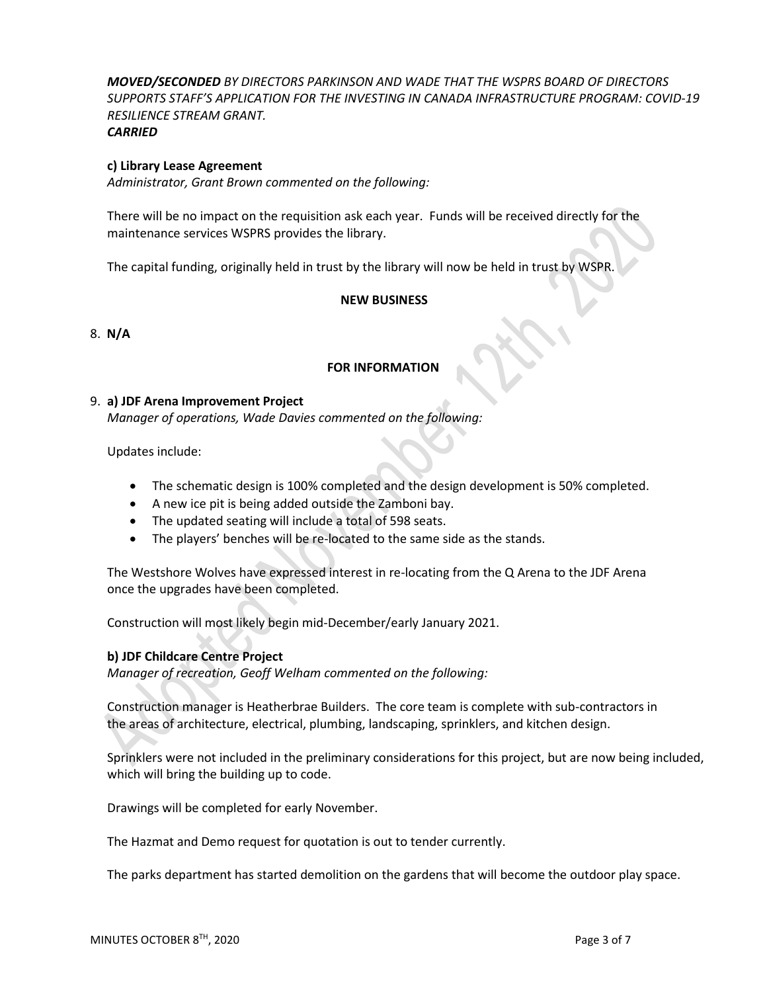*MOVED/SECONDED BY DIRECTORS PARKINSON AND WADE THAT THE WSPRS BOARD OF DIRECTORS SUPPORTS STAFF'S APPLICATION FOR THE INVESTING IN CANADA INFRASTRUCTURE PROGRAM: COVID-19 RESILIENCE STREAM GRANT. CARRIED*

#### **c) Library Lease Agreement**

*Administrator, Grant Brown commented on the following:*

There will be no impact on the requisition ask each year. Funds will be received directly for the maintenance services WSPRS provides the library.

The capital funding, originally held in trust by the library will now be held in trust by WSPR.

#### **NEW BUSINESS**

8. **N/A**

### **FOR INFORMATION**

#### 9. **a) JDF Arena Improvement Project**

*Manager of operations, Wade Davies commented on the following:*

Updates include:

- The schematic design is 100% completed and the design development is 50% completed.
- A new ice pit is being added outside the Zamboni bay.
- The updated seating will include a total of 598 seats.
- The players' benches will be re-located to the same side as the stands.

The Westshore Wolves have expressed interest in re-locating from the Q Arena to the JDF Arena once the upgrades have been completed.

Construction will most likely begin mid-December/early January 2021.

# **b) JDF Childcare Centre Project**

*Manager of recreation, Geoff Welham commented on the following:*

Construction manager is Heatherbrae Builders. The core team is complete with sub-contractors in the areas of architecture, electrical, plumbing, landscaping, sprinklers, and kitchen design.

Sprinklers were not included in the preliminary considerations for this project, but are now being included, which will bring the building up to code.

Drawings will be completed for early November.

The Hazmat and Demo request for quotation is out to tender currently.

The parks department has started demolition on the gardens that will become the outdoor play space.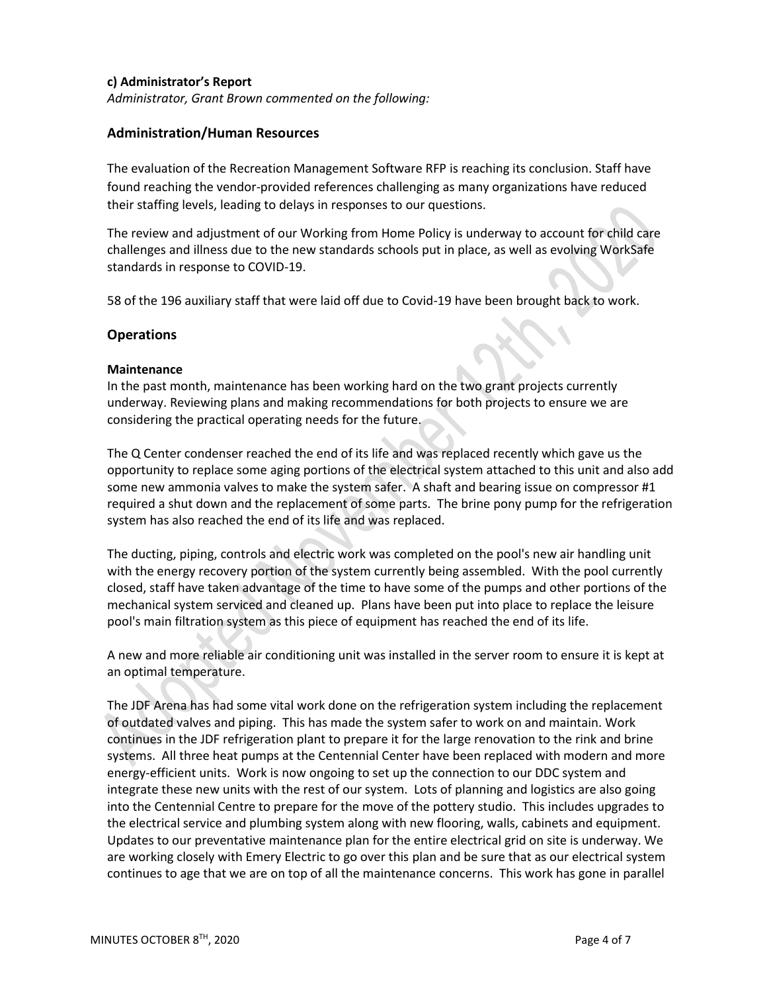## **c) Administrator's Report**

*Administrator, Grant Brown commented on the following:*

# **Administration/Human Resources**

The evaluation of the Recreation Management Software RFP is reaching its conclusion. Staff have found reaching the vendor-provided references challenging as many organizations have reduced their staffing levels, leading to delays in responses to our questions.

The review and adjustment of our Working from Home Policy is underway to account for child care challenges and illness due to the new standards schools put in place, as well as evolving WorkSafe standards in response to COVID-19.

58 of the 196 auxiliary staff that were laid off due to Covid-19 have been brought back to work.

# **Operations**

### **Maintenance**

In the past month, maintenance has been working hard on the two grant projects currently underway. Reviewing plans and making recommendations for both projects to ensure we are considering the practical operating needs for the future.

The Q Center condenser reached the end of its life and was replaced recently which gave us the opportunity to replace some aging portions of the electrical system attached to this unit and also add some new ammonia valves to make the system safer. A shaft and bearing issue on compressor #1 required a shut down and the replacement of some parts. The brine pony pump for the refrigeration system has also reached the end of its life and was replaced.

The ducting, piping, controls and electric work was completed on the pool's new air handling unit with the energy recovery portion of the system currently being assembled. With the pool currently closed, staff have taken advantage of the time to have some of the pumps and other portions of the mechanical system serviced and cleaned up. Plans have been put into place to replace the leisure pool's main filtration system as this piece of equipment has reached the end of its life.

A new and more reliable air conditioning unit was installed in the server room to ensure it is kept at an optimal temperature.

The JDF Arena has had some vital work done on the refrigeration system including the replacement of outdated valves and piping. This has made the system safer to work on and maintain. Work continues in the JDF refrigeration plant to prepare it for the large renovation to the rink and brine systems. All three heat pumps at the Centennial Center have been replaced with modern and more energy-efficient units. Work is now ongoing to set up the connection to our DDC system and integrate these new units with the rest of our system. Lots of planning and logistics are also going into the Centennial Centre to prepare for the move of the pottery studio. This includes upgrades to the electrical service and plumbing system along with new flooring, walls, cabinets and equipment. Updates to our preventative maintenance plan for the entire electrical grid on site is underway. We are working closely with Emery Electric to go over this plan and be sure that as our electrical system continues to age that we are on top of all the maintenance concerns. This work has gone in parallel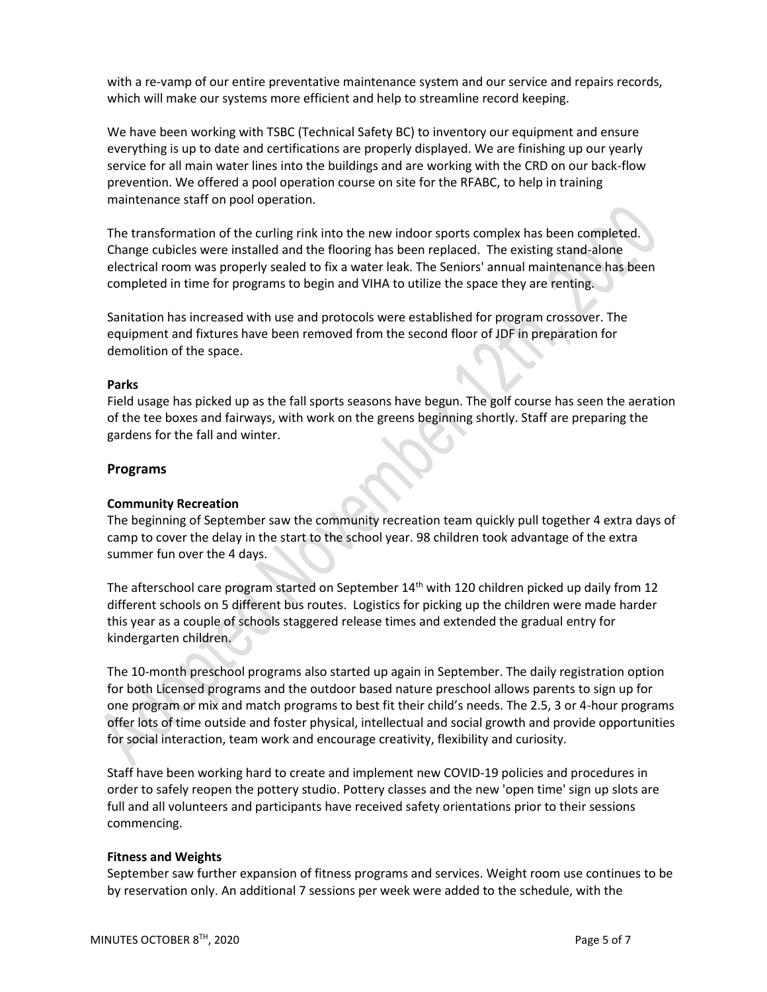with a re-vamp of our entire preventative maintenance system and our service and repairs records, which will make our systems more efficient and help to streamline record keeping.

We have been working with TSBC (Technical Safety BC) to inventory our equipment and ensure everything is up to date and certifications are properly displayed. We are finishing up our yearly service for all main water lines into the buildings and are working with the CRD on our back-flow prevention. We offered a pool operation course on site for the RFABC, to help in training maintenance staff on pool operation.

The transformation of the curling rink into the new indoor sports complex has been completed. Change cubicles were installed and the flooring has been replaced. The existing stand-alone electrical room was properly sealed to fix a water leak. The Seniors' annual maintenance has been completed in time for programs to begin and VIHA to utilize the space they are renting.

Sanitation has increased with use and protocols were established for program crossover. The equipment and fixtures have been removed from the second floor of JDF in preparation for demolition of the space.

# **Parks**

Field usage has picked up as the fall sports seasons have begun. The golf course has seen the aeration of the tee boxes and fairways, with work on the greens beginning shortly. Staff are preparing the gardens for the fall and winter.

# **Programs**

# **Community Recreation**

The beginning of September saw the community recreation team quickly pull together 4 extra days of camp to cover the delay in the start to the school year. 98 children took advantage of the extra summer fun over the 4 days.

The afterschool care program started on September 14<sup>th</sup> with 120 children picked up daily from 12 different schools on 5 different bus routes. Logistics for picking up the children were made harder this year as a couple of schools staggered release times and extended the gradual entry for kindergarten children.

The 10-month preschool programs also started up again in September. The daily registration option for both Licensed programs and the outdoor based nature preschool allows parents to sign up for one program or mix and match programs to best fit their child's needs. The 2.5, 3 or 4-hour programs offer lots of time outside and foster physical, intellectual and social growth and provide opportunities for social interaction, team work and encourage creativity, flexibility and curiosity.

Staff have been working hard to create and implement new COVID-19 policies and procedures in order to safely reopen the pottery studio. Pottery classes and the new 'open time' sign up slots are full and all volunteers and participants have received safety orientations prior to their sessions commencing.

# **Fitness and Weights**

September saw further expansion of fitness programs and services. Weight room use continues to be by reservation only. An additional 7 sessions per week were added to the schedule, with the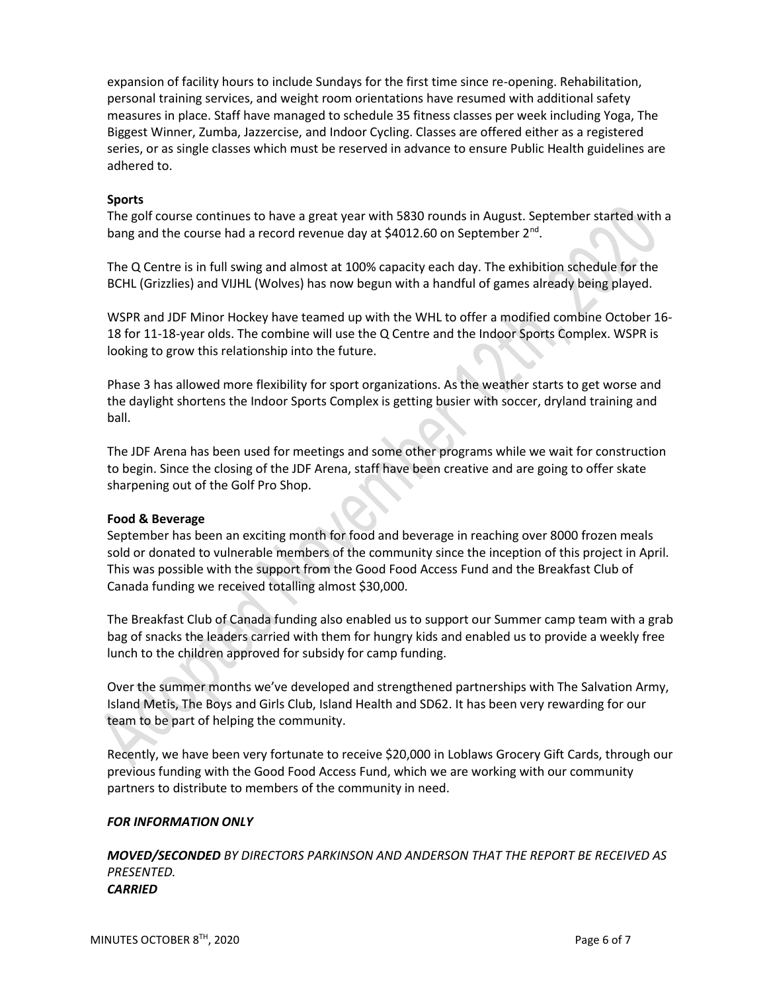expansion of facility hours to include Sundays for the first time since re-opening. Rehabilitation, personal training services, and weight room orientations have resumed with additional safety measures in place. Staff have managed to schedule 35 fitness classes per week including Yoga, The Biggest Winner, Zumba, Jazzercise, and Indoor Cycling. Classes are offered either as a registered series, or as single classes which must be reserved in advance to ensure Public Health guidelines are adhered to.

# **Sports**

The golf course continues to have a great year with 5830 rounds in August. September started with a bang and the course had a record revenue day at \$4012.60 on September 2<sup>nd</sup>.

The Q Centre is in full swing and almost at 100% capacity each day. The exhibition schedule for the BCHL (Grizzlies) and VIJHL (Wolves) has now begun with a handful of games already being played.

WSPR and JDF Minor Hockey have teamed up with the WHL to offer a modified combine October 16- 18 for 11-18-year olds. The combine will use the Q Centre and the Indoor Sports Complex. WSPR is looking to grow this relationship into the future.

Phase 3 has allowed more flexibility for sport organizations. As the weather starts to get worse and the daylight shortens the Indoor Sports Complex is getting busier with soccer, dryland training and ball.

The JDF Arena has been used for meetings and some other programs while we wait for construction to begin. Since the closing of the JDF Arena, staff have been creative and are going to offer skate sharpening out of the Golf Pro Shop.

# **Food & Beverage**

September has been an exciting month for food and beverage in reaching over 8000 frozen meals sold or donated to vulnerable members of the community since the inception of this project in April. This was possible with the support from the Good Food Access Fund and the Breakfast Club of Canada funding we received totalling almost \$30,000.

The Breakfast Club of Canada funding also enabled us to support our Summer camp team with a grab bag of snacks the leaders carried with them for hungry kids and enabled us to provide a weekly free lunch to the children approved for subsidy for camp funding.

Over the summer months we've developed and strengthened partnerships with The Salvation Army, Island Metis, The Boys and Girls Club, Island Health and SD62. It has been very rewarding for our team to be part of helping the community.

Recently, we have been very fortunate to receive \$20,000 in Loblaws Grocery Gift Cards, through our previous funding with the Good Food Access Fund, which we are working with our community partners to distribute to members of the community in need.

# *FOR INFORMATION ONLY*

*MOVED/SECONDED BY DIRECTORS PARKINSON AND ANDERSON THAT THE REPORT BE RECEIVED AS PRESENTED. CARRIED*